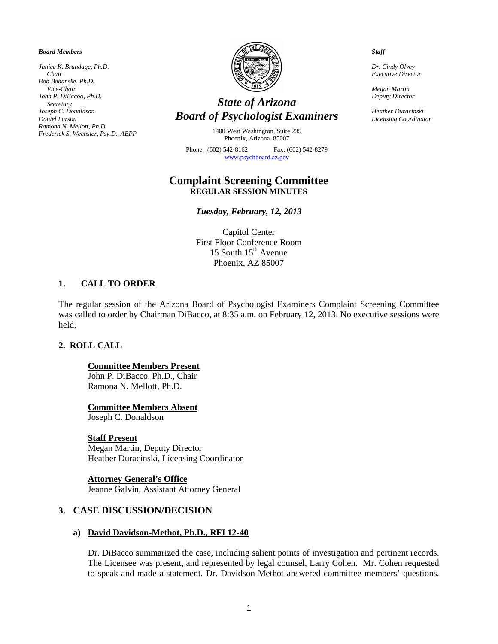#### *Board Members*

*Janice K. Brundage, Ph.D. Chair Bob Bohanske, Ph.D. Vice-Chair John P. DiBacoo, Ph.D. Secretary Joseph C. Donaldson Daniel Larson Ramona N. Mellott, Ph.D. Frederick S. Wechsler, Psy.D., ABPP*



# *State of Arizona Board of Psychologist Examiners*

1400 West Washington, Suite 235 Phoenix, Arizona 85007

Phone: (602) 542-8162 Fax: (602) 542-8279 [www.psychboard.az.gov](http://www.psychboard.az.gov/) 

# **Complaint Screening Committee REGULAR SESSION MINUTES**

# *Tuesday, February, 12, 2013*

Capitol Center First Floor Conference Room 15 South  $15<sup>th</sup>$  Avenue Phoenix, AZ 85007

# **1. CALL TO ORDER**

The regular session of the Arizona Board of Psychologist Examiners Complaint Screening Committee was called to order by Chairman DiBacco, at 8:35 a.m. on February 12, 2013. No executive sessions were held.

# **2. ROLL CALL**

#### **Committee Members Present**

John P. DiBacco, Ph.D., Chair Ramona N. Mellott, Ph.D.

#### **Committee Members Absent**

Joseph C. Donaldson

#### **Staff Present**

Megan Martin, Deputy Director Heather Duracinski, Licensing Coordinator

# **Attorney General's Office**

Jeanne Galvin, Assistant Attorney General

# **3. CASE DISCUSSION/DECISION**

#### **a) David Davidson-Methot, Ph.D., RFI 12-40**

Dr. DiBacco summarized the case, including salient points of investigation and pertinent records. The Licensee was present, and represented by legal counsel, Larry Cohen. Mr. Cohen requested to speak and made a statement. Dr. Davidson-Methot answered committee members' questions.

*Staff*

*Dr. Cindy Olvey Executive Director*

*Megan Martin Deputy Director*

*Heather Duracinski Licensing Coordinator*